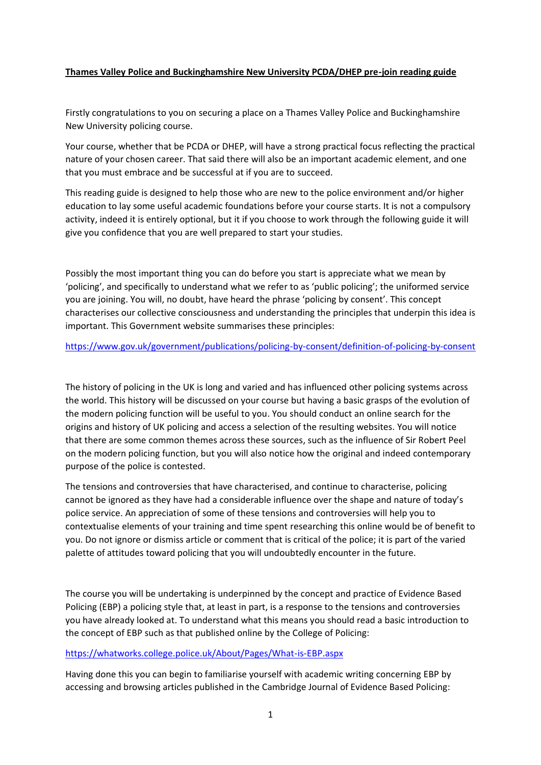## **Thames Valley Police and Buckinghamshire New University PCDA/DHEP pre-join reading guide**

Firstly congratulations to you on securing a place on a Thames Valley Police and Buckinghamshire New University policing course.

Your course, whether that be PCDA or DHEP, will have a strong practical focus reflecting the practical nature of your chosen career. That said there will also be an important academic element, and one that you must embrace and be successful at if you are to succeed.

This reading guide is designed to help those who are new to the police environment and/or higher education to lay some useful academic foundations before your course starts. It is not a compulsory activity, indeed it is entirely optional, but it if you choose to work through the following guide it will give you confidence that you are well prepared to start your studies.

Possibly the most important thing you can do before you start is appreciate what we mean by 'policing', and specifically to understand what we refer to as 'public policing'; the uniformed service you are joining. You will, no doubt, have heard the phrase 'policing by consent'. This concept characterises our collective consciousness and understanding the principles that underpin this idea is important. This Government website summarises these principles:

## <https://www.gov.uk/government/publications/policing-by-consent/definition-of-policing-by-consent>

The history of policing in the UK is long and varied and has influenced other policing systems across the world. This history will be discussed on your course but having a basic grasps of the evolution of the modern policing function will be useful to you. You should conduct an online search for the origins and history of UK policing and access a selection of the resulting websites. You will notice that there are some common themes across these sources, such as the influence of Sir Robert Peel on the modern policing function, but you will also notice how the original and indeed contemporary purpose of the police is contested.

The tensions and controversies that have characterised, and continue to characterise, policing cannot be ignored as they have had a considerable influence over the shape and nature of today's police service. An appreciation of some of these tensions and controversies will help you to contextualise elements of your training and time spent researching this online would be of benefit to you. Do not ignore or dismiss article or comment that is critical of the police; it is part of the varied palette of attitudes toward policing that you will undoubtedly encounter in the future.

The course you will be undertaking is underpinned by the concept and practice of Evidence Based Policing (EBP) a policing style that, at least in part, is a response to the tensions and controversies you have already looked at. To understand what this means you should read a basic introduction to the concept of EBP such as that published online by the College of Policing:

## <https://whatworks.college.police.uk/About/Pages/What-is-EBP.aspx>

Having done this you can begin to familiarise yourself with academic writing concerning EBP by accessing and browsing articles published in the Cambridge Journal of Evidence Based Policing: